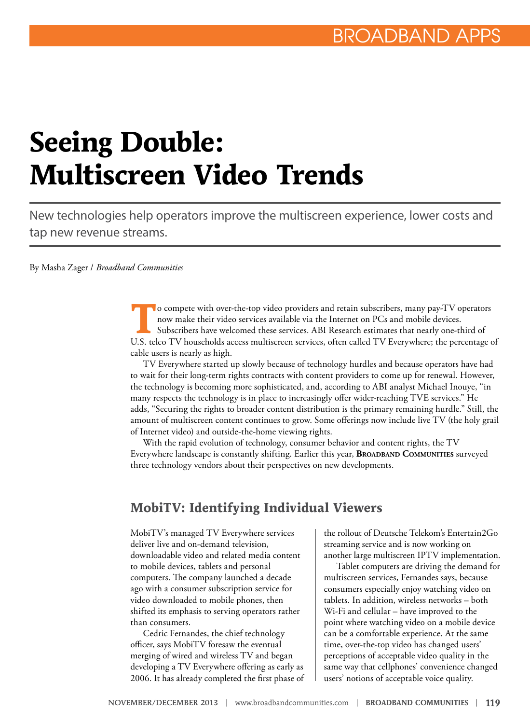# **Seeing Double: Multiscreen Video Trends**

New technologies help operators improve the multiscreen experience, lower costs and tap new revenue streams.

By Masha Zager / *Broadband Communities*

**T**o compete with over-the-top video providers and retain subscribers, many pay-TV operators now make their video services available via the Internet on PCs and mobile devices. Subscribers have welcomed these services. ABI Research estimates that nearly one-third of U.S. telco TV households access multiscreen services, often called TV Everywhere; the percentage of cable users is nearly as high.

TV Everywhere started up slowly because of technology hurdles and because operators have had to wait for their long-term rights contracts with content providers to come up for renewal. However, the technology is becoming more sophisticated, and, according to ABI analyst Michael Inouye, "in many respects the technology is in place to increasingly offer wider-reaching TVE services." He adds, "Securing the rights to broader content distribution is the primary remaining hurdle." Still, the amount of multiscreen content continues to grow. Some offerings now include live TV (the holy grail of Internet video) and outside-the-home viewing rights.

With the rapid evolution of technology, consumer behavior and content rights, the TV Everywhere landscape is constantly shifting. Earlier this year, **Broadband Communities** surveyed three technology vendors about their perspectives on new developments.

#### **MobiTV: Identifying Individual Viewers**

MobiTV's managed TV Everywhere services deliver live and on-demand television, downloadable video and related media content to mobile devices, tablets and personal computers. The company launched a decade ago with a consumer subscription service for video downloaded to mobile phones, then shifted its emphasis to serving operators rather than consumers.

Cedric Fernandes, the chief technology officer, says MobiTV foresaw the eventual merging of wired and wireless TV and began developing a TV Everywhere offering as early as 2006. It has already completed the first phase of

the rollout of Deutsche Telekom's Entertain2Go streaming service and is now working on another large multiscreen IPTV implementation.

Tablet computers are driving the demand for multiscreen services, Fernandes says, because consumers especially enjoy watching video on tablets. In addition, wireless networks – both Wi-Fi and cellular – have improved to the point where watching video on a mobile device can be a comfortable experience. At the same time, over-the-top video has changed users' perceptions of acceptable video quality in the same way that cellphones' convenience changed users' notions of acceptable voice quality.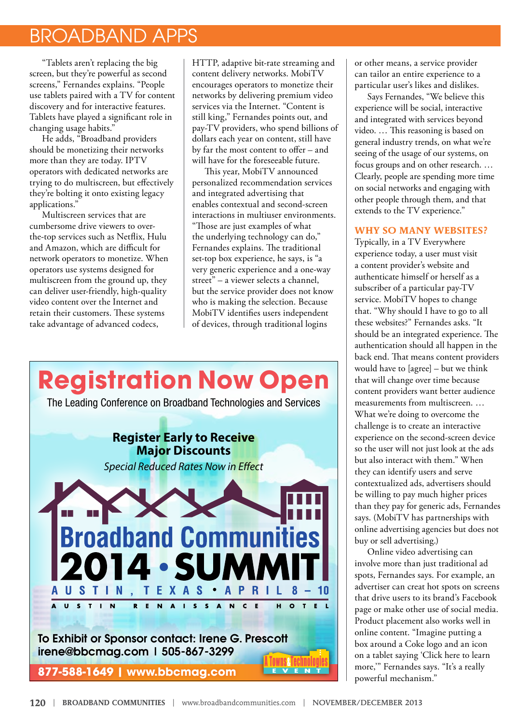## BROADBAND APPS

"Tablets aren't replacing the big screen, but they're powerful as second screens," Fernandes explains. "People use tablets paired with a TV for content discovery and for interactive features. Tablets have played a significant role in changing usage habits."

He adds, "Broadband providers should be monetizing their networks more than they are today. IPTV operators with dedicated networks are trying to do multiscreen, but effectively they're bolting it onto existing legacy applications."

Multiscreen services that are cumbersome drive viewers to overthe-top services such as Netflix, Hulu and Amazon, which are difficult for network operators to monetize. When operators use systems designed for multiscreen from the ground up, they can deliver user-friendly, high-quality video content over the Internet and retain their customers. These systems take advantage of advanced codecs,

HTTP, adaptive bit-rate streaming and content delivery networks. MobiTV encourages operators to monetize their networks by delivering premium video services via the Internet. "Content is still king," Fernandes points out, and pay-TV providers, who spend billions of dollars each year on content, still have by far the most content to offer – and will have for the foreseeable future.

This year, MobiTV announced personalized recommendation services and integrated advertising that enables contextual and second-screen interactions in multiuser environments. "Those are just examples of what the underlying technology can do," Fernandes explains. The traditional set-top box experience, he says, is "a very generic experience and a one-way street" – a viewer selects a channel, but the service provider does not know who is making the selection. Because MobiTV identifies users independent of devices, through traditional logins



or other means, a service provider can tailor an entire experience to a particular user's likes and dislikes.

Says Fernandes, "We believe this experience will be social, interactive and integrated with services beyond video. … This reasoning is based on general industry trends, on what we're seeing of the usage of our systems, on focus groups and on other research. … Clearly, people are spending more time on social networks and engaging with other people through them, and that extends to the TV experience."

#### **WHY SO MANY WEBSITES?**

Typically, in a TV Everywhere experience today, a user must visit a content provider's website and authenticate himself or herself as a subscriber of a particular pay-TV service. MobiTV hopes to change that. "Why should I have to go to all these websites?" Fernandes asks. "It should be an integrated experience. The authentication should all happen in the back end. That means content providers would have to [agree] – but we think that will change over time because content providers want better audience measurements from multiscreen. … What we're doing to overcome the challenge is to create an interactive experience on the second-screen device so the user will not just look at the ads but also interact with them." When they can identify users and serve contextualized ads, advertisers should be willing to pay much higher prices than they pay for generic ads, Fernandes says. (MobiTV has partnerships with online advertising agencies but does not buy or sell advertising.)

Online video advertising can involve more than just traditional ad spots, Fernandes says. For example, an advertiser can creat hot spots on screens that drive users to its brand's Facebook page or make other use of social media. Product placement also works well in online content. "Imagine putting a box around a Coke logo and an icon on a tablet saying 'Click here to learn more,'" Fernandes says. "It's a really powerful mechanism."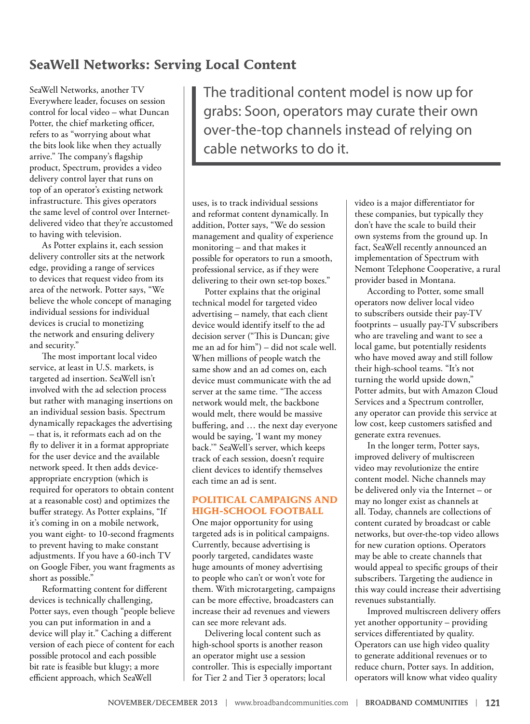## **SeaWell Networks: Serving Local Content**

SeaWell Networks, another TV Everywhere leader, focuses on session control for local video – what Duncan Potter, the chief marketing officer, refers to as "worrying about what the bits look like when they actually arrive." The company's flagship product, Spectrum, provides a video delivery control layer that runs on top of an operator's existing network infrastructure. This gives operators the same level of control over Internetdelivered video that they're accustomed to having with television.

As Potter explains it, each session delivery controller sits at the network edge, providing a range of services to devices that request video from its area of the network. Potter says, "We believe the whole concept of managing individual sessions for individual devices is crucial to monetizing the network and ensuring delivery and security."

The most important local video service, at least in U.S. markets, is targeted ad insertion. SeaWell isn't involved with the ad selection process but rather with managing insertions on an individual session basis. Spectrum dynamically repackages the advertising – that is, it reformats each ad on the fly to deliver it in a format appropriate for the user device and the available network speed. It then adds deviceappropriate encryption (which is required for operators to obtain content at a reasonable cost) and optimizes the buffer strategy. As Potter explains, "If it's coming in on a mobile network, you want eight- to 10-second fragments to prevent having to make constant adjustments. If you have a 60-inch TV on Google Fiber, you want fragments as short as possible."

Reformatting content for different devices is technically challenging, Potter says, even though "people believe you can put information in and a device will play it." Caching a different version of each piece of content for each possible protocol and each possible bit rate is feasible but klugy; a more efficient approach, which SeaWell

The traditional content model is now up for grabs: Soon, operators may curate their own over-the-top channels instead of relying on cable networks to do it.

uses, is to track individual sessions and reformat content dynamically. In addition, Potter says, "We do session management and quality of experience monitoring – and that makes it possible for operators to run a smooth, professional service, as if they were delivering to their own set-top boxes."

Potter explains that the original technical model for targeted video advertising – namely, that each client device would identify itself to the ad decision server ("This is Duncan; give me an ad for him") – did not scale well. When millions of people watch the same show and an ad comes on, each device must communicate with the ad server at the same time. "The access network would melt, the backbone would melt, there would be massive buffering, and … the next day everyone would be saying, 'I want my money back.'" SeaWell's server, which keeps track of each session, doesn't require client devices to identify themselves each time an ad is sent.

#### **POLITICAL CAMPAIGNS AND HIGH-SCHOOL FOOTBALL**

One major opportunity for using targeted ads is in political campaigns. Currently, because advertising is poorly targeted, candidates waste huge amounts of money advertising to people who can't or won't vote for them. With microtargeting, campaigns can be more effective, broadcasters can increase their ad revenues and viewers can see more relevant ads.

Delivering local content such as high-school sports is another reason an operator might use a session controller. This is especially important for Tier 2 and Tier 3 operators; local

video is a major differentiator for these companies, but typically they don't have the scale to build their own systems from the ground up. In fact, SeaWell recently announced an implementation of Spectrum with Nemont Telephone Cooperative, a rural provider based in Montana.

According to Potter, some small operators now deliver local video to subscribers outside their pay-TV footprints – usually pay-TV subscribers who are traveling and want to see a local game, but potentially residents who have moved away and still follow their high-school teams. "It's not turning the world upside down," Potter admits, but with Amazon Cloud Services and a Spectrum controller, any operator can provide this service at low cost, keep customers satisfied and generate extra revenues.

In the longer term, Potter says, improved delivery of multiscreen video may revolutionize the entire content model. Niche channels may be delivered only via the Internet – or may no longer exist as channels at all. Today, channels are collections of content curated by broadcast or cable networks, but over-the-top video allows for new curation options. Operators may be able to create channels that would appeal to specific groups of their subscribers. Targeting the audience in this way could increase their advertising revenues substantially.

Improved multiscreen delivery offers yet another opportunity – providing services differentiated by quality. Operators can use high video quality to generate additional revenues or to reduce churn, Potter says. In addition, operators will know what video quality